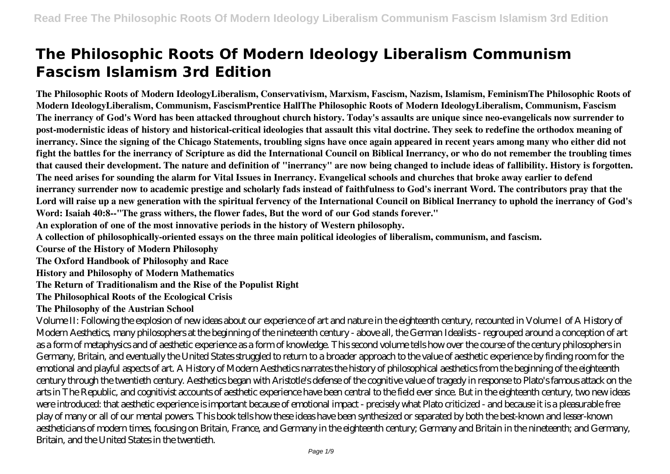# **The Philosophic Roots Of Modern Ideology Liberalism Communism Fascism Islamism 3rd Edition**

**The Philosophic Roots of Modern IdeologyLiberalism, Conservativism, Marxism, Fascism, Nazism, Islamism, FeminismThe Philosophic Roots of Modern IdeologyLiberalism, Communism, FascismPrentice HallThe Philosophic Roots of Modern IdeologyLiberalism, Communism, Fascism The inerrancy of God's Word has been attacked throughout church history. Today's assaults are unique since neo-evangelicals now surrender to post-modernistic ideas of history and historical-critical ideologies that assault this vital doctrine. They seek to redefine the orthodox meaning of inerrancy. Since the signing of the Chicago Statements, troubling signs have once again appeared in recent years among many who either did not fight the battles for the inerrancy of Scripture as did the International Council on Biblical Inerrancy, or who do not remember the troubling times that caused their development. The nature and definition of "inerrancy" are now being changed to include ideas of fallibility. History is forgotten. The need arises for sounding the alarm for Vital Issues in Inerrancy. Evangelical schools and churches that broke away earlier to defend inerrancy surrender now to academic prestige and scholarly fads instead of faithfulness to God's inerrant Word. The contributors pray that the Lord will raise up a new generation with the spiritual fervency of the International Council on Biblical Inerrancy to uphold the inerrancy of God's Word: Isaiah 40:8--"The grass withers, the flower fades, But the word of our God stands forever."**

**An exploration of one of the most innovative periods in the history of Western philosophy.**

**A collection of philosophically-oriented essays on the three main political ideologies of liberalism, communism, and fascism.**

**Course of the History of Modern Philosophy**

**The Oxford Handbook of Philosophy and Race**

**History and Philosophy of Modern Mathematics**

**The Return of Traditionalism and the Rise of the Populist Right**

**The Philosophical Roots of the Ecological Crisis**

**The Philosophy of the Austrian School**

Volume II: Following the explosion of new ideas about our experience of art and nature in the eighteenth century, recounted in Volume I of A History of Modern Aesthetics, many philosophers at the beginning of the nineteenth century - above all, the German Idealists - regrouped around a conception of art as a form of metaphysics and of aesthetic experience as a form of knowledge. This second volume tells how over the course of the century philosophers in Germany, Britain, and eventually the United States struggled to return to a broader approach to the value of aesthetic experience by finding room for the emotional and playful aspects of art. A History of Modern Aesthetics narrates the history of philosophical aesthetics from the beginning of the eighteenth century through the twentieth century. Aesthetics began with Aristotle's defense of the cognitive value of tragedy in response to Plato's famous attack on the arts in The Republic, and cognitivist accounts of aesthetic experience have been central to the field ever since. But in the eighteenth century, two new ideas were introduced: that aesthetic experience is important because of emotional impact - precisely what Plato criticized - and because it is a pleasurable free play of many or all of our mental powers. This book tells how these ideas have been synthesized or separated by both the best-known and lesser-known aestheticians of modern times, focusing on Britain, France, and Germany in the eighteenth century; Germany and Britain in the nineteenth; and Germany, Britain, and the United States in the twentieth.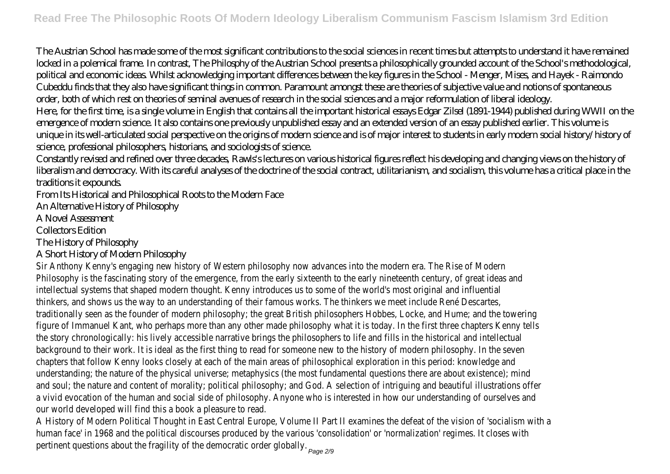The Austrian School has made some of the most significant contributions to the social sciences in recent times but attempts to understand it have remained locked in a polemical frame. In contrast, The Philosphy of the Austrian School presents a philosophically grounded account of the School's methodological, political and economic ideas. Whilst acknowledging important differences between the key figures in the School - Menger, Mises, and Hayek - Raimondo Cubeddu finds that they also have significant things in common. Paramount amongst these are theories of subjective value and notions of spontaneous order, both of which rest on theories of seminal avenues of research in the social sciences and a major reformulation of liberal ideology. Here, for the first time, is a single volume in English that contains all the important historical essays Edgar Zilsel (1891-1944) published during WWII on the emergence of modern science. It also contains one previously unpublished essay and an extended version of an essay published earlier. This volume is unique in its well-articulated social perspective on the origins of modern science and is of major interest to students in early modern social history/history of science, professional philosophers, historians, and sociologists of science.

Constantly revised and refined over three decades, Rawls's lectures on various historical figures reflect his developing and changing views on the history of liberalism and democracy. With its careful analyses of the doctrine of the social contract, utilitarianism, and socialism, this volume has a critical place in the traditions it expounds.

From Its Historical and Philosophical Roots to the Modern Face

An Alternative History of Philosophy

A Novel Assessment

Collectors Edition

The History of Philosophy

#### A Short History of Modern Philosophy

Sir Anthony Kenny's engaging new history of Western philosophy now advances into the modern era. The Rise of M Philosophy is the fascinating story of the emergence, from the early sixteenth to the early nineteenth century, of great ideas intellectual systems that shaped modern thought. Kenny introduces us to some of the world's most original and influ thinkers, and shows us the way to an understanding of their famous works. The thinkers we meet include René Des traditionally seen as the founder of modern philosophy; the great British philosophers Hobbes, Locke, and Hume; and the tow figure of Immanuel Kant, who perhaps more than any other made philosophy what it is today. In the first three chapters Ken the story chronologically: his lively accessible narrative brings the philosophers to life and fills in the historical and intell background to their work. It is ideal as the first thing to read for someone new to the history of modern philosophy. In the chapters that follow Kenny looks closely at each of the main areas of philosophical exploration in this period: knowled understanding; the nature of the physical universe; metaphysics (the most fundamental questions there are about existence and soul; the nature and content of morality; political philosophy; and God. A selection of intriguing and beautiful illustrations a vivid evocation of the human and social side of philosophy. Anyone who is interested in how our understanding of ourselv our world developed will find this a book a pleasure to re

A History of Modern Political Thought in East Central Europe, Volume II Part II examines the defeat of the vision of 'socialism human face' in 1968 and the political discourses produced by the various 'consolidation' or 'normalization' regimes. It close pertinent questions about the fragility of the democratic order globally.<br>Page 2/9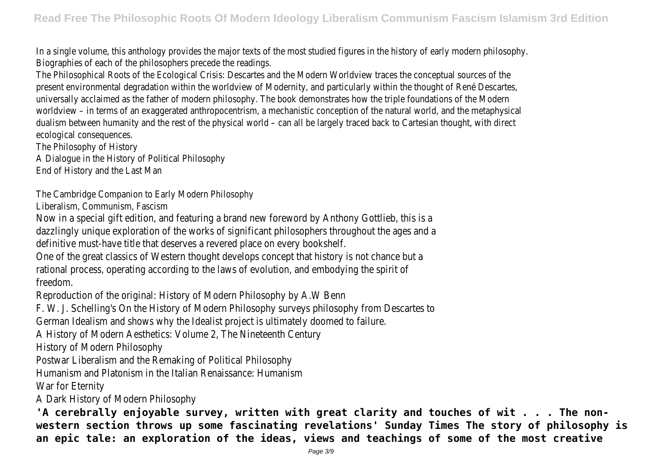In a single volume, this anthology provides the major texts of the most studied figures in the history of early modern philosophy. Biographies of each of the philosophers precede the reading

The Philosophical Roots of the Ecological Crisis: Descartes and the Modern Worldview traces the conceptual sources present environmental degradation within the worldview of Modernity, and particularly within the thought of René Des universally acclaimed as the father of modern philosophy. The book demonstrates how the triple foundations of the M worldview – in terms of an exaggerated anthropocentrism, a mechanistic conception of the natural world, and the metap dualism between humanity and the rest of the physical world – can all be largely traced back to Cartesian thought, with ecological consequences.

The Philosophy of History

A Dialoque in the History of Political Philosop

End of History and the Last Ma

The Cambridge Companion to Early Modern Philosop

Liberalism, Communism, Fascism

Now in a special gift edition, and featuring a brand new foreword by Anthony Gottlieb, the dazzlingly unique exploration of the works of significant philosophers throughout the age definitive must-have title that deserves a revered place on every book

One of the great classics of Western thought develops concept that history is not chanded rational process, operating according to the laws of evolution, and embodying the s freedom.

Reproduction of the original: History of Modern Philosophy by A.W

F. W. J. Schelling's On the History of Modern Philosophy surveys philosophy from Descartes to the History of Modern Philosophy and the Mescartes to the Mescartes to the History of Mescartes to the Mescare to the Mescartes

German Idealism and shows why the Idealist project is ultimately doomed to failure.

A History of Modern Aesthetics: Volume 2, The Nineteenth Century

History of Modern Philosopl

Postwar Liberalism and the Remaking of Political Philosophy

Humanism and Platonism in the Italian Renaissance: Huma

War for Eternit

A Dark History of Modern Philosop

**'A cerebrally enjoyable survey, written with great clarity and touches of wit . . . The nonwestern section throws up some fascinating revelations' Sunday Times The story of philosophy is an epic tale: an exploration of the ideas, views and teachings of some of the most creative**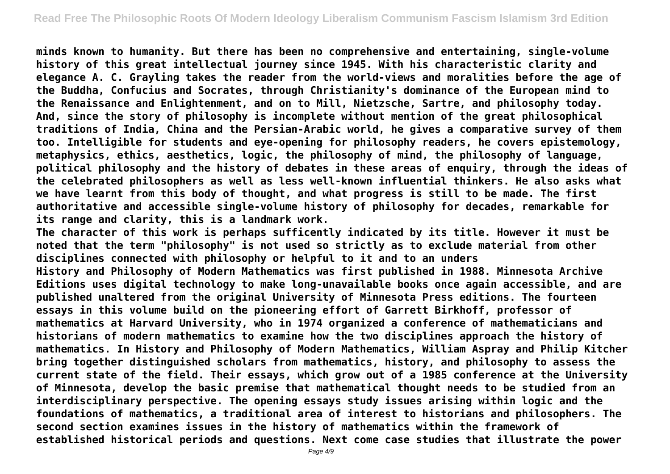**minds known to humanity. But there has been no comprehensive and entertaining, single-volume history of this great intellectual journey since 1945. With his characteristic clarity and elegance A. C. Grayling takes the reader from the world-views and moralities before the age of the Buddha, Confucius and Socrates, through Christianity's dominance of the European mind to the Renaissance and Enlightenment, and on to Mill, Nietzsche, Sartre, and philosophy today. And, since the story of philosophy is incomplete without mention of the great philosophical traditions of India, China and the Persian-Arabic world, he gives a comparative survey of them too. Intelligible for students and eye-opening for philosophy readers, he covers epistemology, metaphysics, ethics, aesthetics, logic, the philosophy of mind, the philosophy of language, political philosophy and the history of debates in these areas of enquiry, through the ideas of the celebrated philosophers as well as less well-known influential thinkers. He also asks what we have learnt from this body of thought, and what progress is still to be made. The first authoritative and accessible single-volume history of philosophy for decades, remarkable for its range and clarity, this is a landmark work.**

**The character of this work is perhaps sufficently indicated by its title. However it must be noted that the term "philosophy" is not used so strictly as to exclude material from other disciplines connected with philosophy or helpful to it and to an unders History and Philosophy of Modern Mathematics was first published in 1988. Minnesota Archive Editions uses digital technology to make long-unavailable books once again accessible, and are published unaltered from the original University of Minnesota Press editions. The fourteen essays in this volume build on the pioneering effort of Garrett Birkhoff, professor of mathematics at Harvard University, who in 1974 organized a conference of mathematicians and historians of modern mathematics to examine how the two disciplines approach the history of mathematics. In History and Philosophy of Modern Mathematics, William Aspray and Philip Kitcher bring together distinguished scholars from mathematics, history, and philosophy to assess the current state of the field. Their essays, which grow out of a 1985 conference at the University of Minnesota, develop the basic premise that mathematical thought needs to be studied from an interdisciplinary perspective. The opening essays study issues arising within logic and the foundations of mathematics, a traditional area of interest to historians and philosophers. The second section examines issues in the history of mathematics within the framework of established historical periods and questions. Next come case studies that illustrate the power**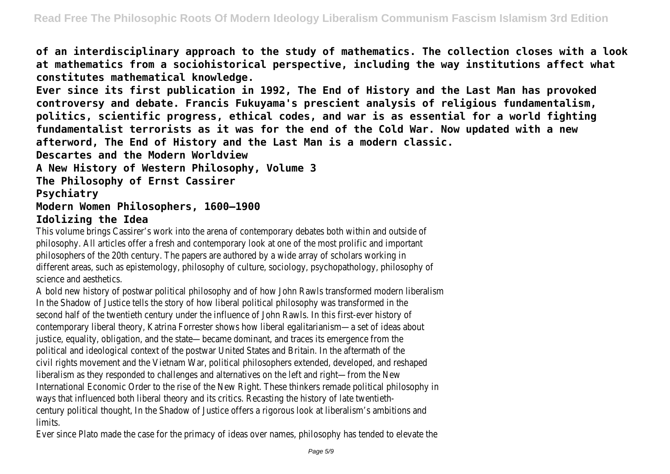**of an interdisciplinary approach to the study of mathematics. The collection closes with a look at mathematics from a sociohistorical perspective, including the way institutions affect what constitutes mathematical knowledge.**

**Ever since its first publication in 1992, The End of History and the Last Man has provoked controversy and debate. Francis Fukuyama's prescient analysis of religious fundamentalism, politics, scientific progress, ethical codes, and war is as essential for a world fighting fundamentalist terrorists as it was for the end of the Cold War. Now updated with a new afterword, The End of History and the Last Man is a modern classic.**

**Descartes and the Modern Worldview**

**A New History of Western Philosophy, Volume 3**

**The Philosophy of Ernst Cassirer**

## **Psychiatry**

#### **Modern Women Philosophers, 1600–1900 Idolizing the Idea**

This volume brings Cassirer's work into the arena of contemporary debates both within and out philosophy. All articles offer a fresh and contemporary look at one of the most prolific and im philosophers of the 20th century. The papers are authored by a wide array of scholars wo different areas, such as epistemology, philosophy of culture, sociology, psychopathology, philos science and aesthetic

A bold new history of postwar political philosophy and of how John Rawls transformed modern lil In the Shadow of Justice tells the story of how liberal political philosophy was transformed second half of the twentieth century under the influence of John Rawls. In this first-ever hist contemporary liberal theory, Katrina Forrester shows how liberal egalitarianism—a set of idea justice, equality, obligation, and the state—became dominant, and traces its emergence from political and ideological context of the postwar United States and Britain. In the aftermath civil rights movement and the Vietnam War, political philosophers extended, developed, and re liberalism as they responded to challenges and alternatives on the left and right—from the International Economic Order to the rise of the New Right. These thinkers remade political philos ways that influenced both liberal theory and its critics. Recasting the history of late twe century political thought, In the Shadow of Justice offers a rigorous look at liberalism's ambiti limits.

Ever since Plato made the case for the primacy of ideas over names, philosophy has tended to elevate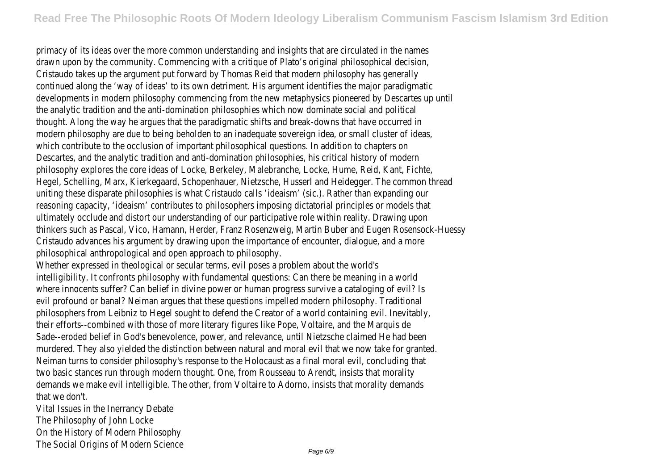primacy of its ideas over the more common understanding and insights that are circulated in the drawn upon by the community. Commencing with a critique of Plato's original philosophical decay Cristaudo takes up the argument put forward by Thomas Reid that modern philosophy has generally continued along the 'way of ideas' to its own detriment. His argument identifies the major paradigmatic developments in modern philosophy commencing from the new metaphysics pioneered by Descartes the analytic tradition and the anti-domination philosophies which now dominate social and thought. Along the way he argues that the paradigmatic shifts and break-downs that have occ modern philosophy are due to being beholden to an inadequate sovereign idea, or small cluster of which contribute to the occlusion of important philosophical questions. In addition to chap Descartes, and the analytic tradition and anti-domination philosophies, his critical history of philosophy explores the core ideas of Locke, Berkeley, Malebranche, Locke, Hume, Reid, Kant Hegel, Schelling, Marx, Kierkegaard, Schopenhauer, Nietzsche, Husserl and Heidegger. The commor uniting these disparate philosophies is what Cristaudo calls 'ideaism' (sic.). Rather than expand reasoning capacity, 'ideaism' contributes to philosophers imposing dictatorial principles or mode ultimately occlude and distort our understanding of our participative role within reality. Drawing thinkers such as Pascal, Vico, Hamann, Herder, Franz Rosenzweig, Martin Buber and Eugen Rosensock Cristaudo advances his argument by drawing upon the importance of encounter, dialogue, and philosophical anthropological and open approach to philoso

Whether expressed in theological or secular terms, evil poses a problem about the w intelligibility. It confronts philosophy with fundamental questions: Can there be meaning in a where innocents suffer? Can belief in divine power or human progress survive a cataloging of evil profound or banal? Neiman argues that these questions impelled modern philosophy. Tra philosophers from Leibniz to Hegel sought to defend the Creator of a world containing evil. Ine their efforts--combined with those of more literary figures like Pope, Voltaire, and the Mar Sade--eroded belief in God's benevolence, power, and relevance, until Nietzsche claimed He had murdered. They also yielded the distinction between natural and moral evil that we now take for Neiman turns to consider philosophy's response to the Holocaust as a final moral evil, concluding Neiman turns to consider philosophy's response to the Holocaust as a final moral evil, concluding two basic stances run through modern thought. One, from Rousseau to Arendt, insists that in demands we make evil intelligible. The other, from Voltaire to Adorno, insists that morality d that we don't.

Vital Issues in the Inerrancy Debate The Philosophy of John Lock On the History of Modern Philosop The Social Origins of Modern Scien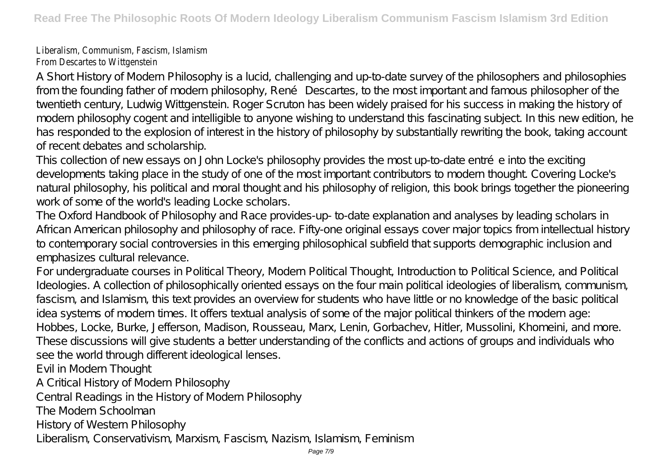# Liberalism, Communism, Fascism, Islami From Descartes to Wittgenste

A Short History of Modern Philosophy is a lucid, challenging and up-to-date survey of the philosophers and philosophies from the founding father of modern philosophy, René Descartes, to the most important and famous philosopher of the twentieth century, Ludwig Wittgenstein. Roger Scruton has been widely praised for his success in making the history of modern philosophy cogent and intelligible to anyone wishing to understand this fascinating subject. In this new edition, he has responded to the explosion of interest in the history of philosophy by substantially rewriting the book, taking account of recent debates and scholarship.

This collection of new essays on John Locke's philosophy provides the most up-to-date entrée into the exciting developments taking place in the study of one of the most important contributors to modern thought. Covering Locke's natural philosophy, his political and moral thought and his philosophy of religion, this book brings together the pioneering work of some of the world's leading Locke scholars.

The Oxford Handbook of Philosophy and Race provides-up- to-date explanation and analyses by leading scholars in African American philosophy and philosophy of race. Fifty-one original essays cover major topics from intellectual history to contemporary social controversies in this emerging philosophical subfield that supports demographic inclusion and emphasizes cultural relevance.

For undergraduate courses in Political Theory, Modern Political Thought, Introduction to Political Science, and Political Ideologies. A collection of philosophically oriented essays on the four main political ideologies of liberalism, communism, fascism, and Islamism, this text provides an overview for students who have little or no knowledge of the basic political idea systems of modern times. It offers textual analysis of some of the major political thinkers of the modern age: Hobbes, Locke, Burke, Jefferson, Madison, Rousseau, Marx, Lenin, Gorbachev, Hitler, Mussolini, Khomeini, and more. These discussions will give students a better understanding of the conflicts and actions of groups and individuals who see the world through different ideological lenses. Evil in Modern Thought

A Critical History of Modern Philosophy

Central Readings in the History of Modern Philosophy

The Modern Schoolman

History of Western Philosophy

Liberalism, Conservativism, Marxism, Fascism, Nazism, Islamism, Feminism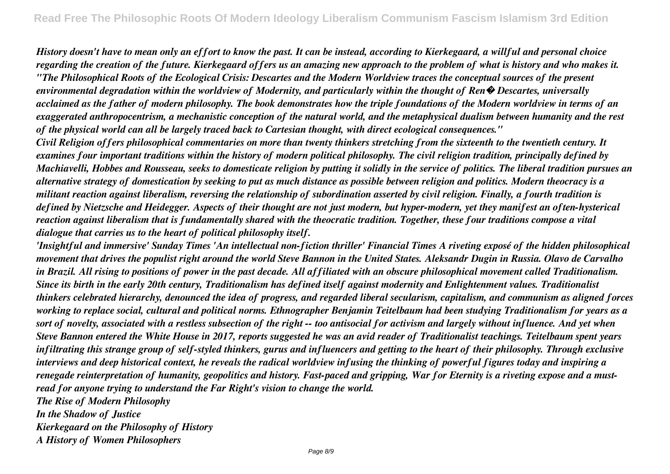*History doesn't have to mean only an effort to know the past. It can be instead, according to Kierkegaard, a willful and personal choice regarding the creation of the future. Kierkegaard offers us an amazing new approach to the problem of what is history and who makes it. "The Philosophical Roots of the Ecological Crisis: Descartes and the Modern Worldview traces the conceptual sources of the present environmental degradation within the worldview of Modernity, and particularly within the thought of Ren� Descartes, universally acclaimed as the father of modern philosophy. The book demonstrates how the triple foundations of the Modern worldview in terms of an exaggerated anthropocentrism, a mechanistic conception of the natural world, and the metaphysical dualism between humanity and the rest of the physical world can all be largely traced back to Cartesian thought, with direct ecological consequences."*

*Civil Religion offers philosophical commentaries on more than twenty thinkers stretching from the sixteenth to the twentieth century. It examines four important traditions within the history of modern political philosophy. The civil religion tradition, principally defined by Machiavelli, Hobbes and Rousseau, seeks to domesticate religion by putting it solidly in the service of politics. The liberal tradition pursues an alternative strategy of domestication by seeking to put as much distance as possible between religion and politics. Modern theocracy is a militant reaction against liberalism, reversing the relationship of subordination asserted by civil religion. Finally, a fourth tradition is defined by Nietzsche and Heidegger. Aspects of their thought are not just modern, but hyper-modern, yet they manifest an often-hysterical reaction against liberalism that is fundamentally shared with the theocratic tradition. Together, these four traditions compose a vital dialogue that carries us to the heart of political philosophy itself.*

*'Insightful and immersive' Sunday Times 'An intellectual non-fiction thriller' Financial Times A riveting exposé of the hidden philosophical movement that drives the populist right around the world Steve Bannon in the United States. Aleksandr Dugin in Russia. Olavo de Carvalho in Brazil. All rising to positions of power in the past decade. All affiliated with an obscure philosophical movement called Traditionalism. Since its birth in the early 20th century, Traditionalism has defined itself against modernity and Enlightenment values. Traditionalist thinkers celebrated hierarchy, denounced the idea of progress, and regarded liberal secularism, capitalism, and communism as aligned forces working to replace social, cultural and political norms. Ethnographer Benjamin Teitelbaum had been studying Traditionalism for years as a sort of novelty, associated with a restless subsection of the right -- too antisocial for activism and largely without influence. And yet when Steve Bannon entered the White House in 2017, reports suggested he was an avid reader of Traditionalist teachings. Teitelbaum spent years infiltrating this strange group of self-styled thinkers, gurus and influencers and getting to the heart of their philosophy. Through exclusive interviews and deep historical context, he reveals the radical worldview infusing the thinking of powerful figures today and inspiring a renegade reinterpretation of humanity, geopolitics and history. Fast-paced and gripping, War for Eternity is a riveting expose and a mustread for anyone trying to understand the Far Right's vision to change the world. The Rise of Modern Philosophy*

*In the Shadow of Justice Kierkegaard on the Philosophy of History*

*A History of Women Philosophers*